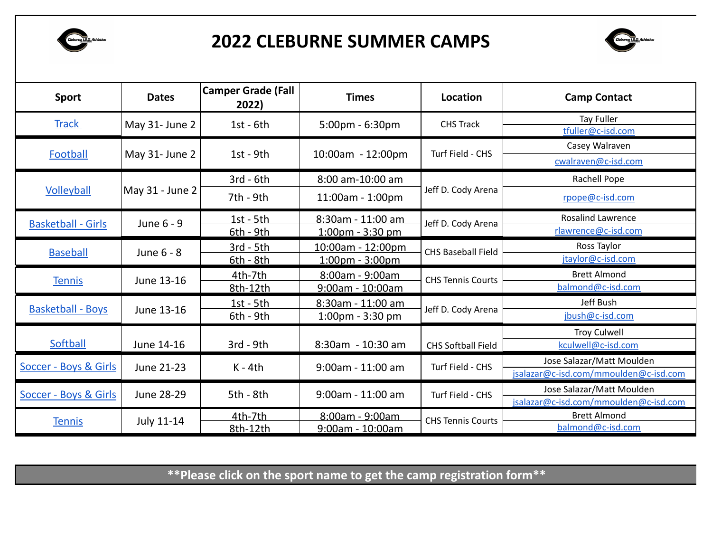

## **2022 CLEBURNE SUMMER CAMPS**



| <b>Sport</b>              | <b>Dates</b>    | <b>Camper Grade (Fall</b><br>2022) | <b>Times</b>                                           | Location                  | <b>Camp Contact</b>                                                |
|---------------------------|-----------------|------------------------------------|--------------------------------------------------------|---------------------------|--------------------------------------------------------------------|
| <b>Track</b>              | May 31- June 2  | $1st - 6th$                        | 5:00pm - 6:30pm                                        | <b>CHS Track</b>          | Tay Fuller<br>tfuller@c-isd.com                                    |
| <b>Football</b>           | May 31- June 2  | 1st - 9th                          | 10:00am - 12:00pm                                      | Turf Field - CHS          | Casey Walraven<br>cwalraven@c-isd.com                              |
| <b>Volleyball</b>         | May 31 - June 2 | $3rd - 6th$<br>7th - 9th           | 8:00 am-10:00 am<br>11:00am - 1:00pm                   | Jeff D. Cody Arena        | Rachell Pope<br>rpope@c-isd.com                                    |
| <b>Basketball - Girls</b> | June 6 - 9      | $1st - 5th$<br>6th - 9th           | 8:30am - 11:00 am<br>$1:00$ pm - $3:30$ pm             | Jeff D. Cody Arena        | <b>Rosalind Lawrence</b><br>rlawrence@c-isd.com                    |
| <b>Baseball</b>           | June 6 - 8      | $3rd - 5th$<br>6th - 8th           | 10:00am - 12:00pm<br>$1:00 \text{pm} - 3:00 \text{pm}$ | <b>CHS Baseball Field</b> | Ross Taylor<br>jtaylor@c-isd.com                                   |
| <b>Tennis</b>             | June 13-16      | 4th-7th<br>8th-12th                | 8:00am - 9:00am<br>9:00am - 10:00am                    | <b>CHS Tennis Courts</b>  | <b>Brett Almond</b><br>balmond@c-isd.com                           |
| <b>Basketball - Boys</b>  | June 13-16      | $1st - 5th$<br>$6th - 9th$         | 8:30am - 11:00 am<br>$1:00$ pm - $3:30$ pm             | Jeff D. Cody Arena        | Jeff Bush<br>jbush@c-isd.com                                       |
| Softball                  | June 14-16      | $3rd - 9th$                        | 8:30am - 10:30 am                                      | <b>CHS Softball Field</b> | <b>Troy Culwell</b><br>kculwell@c-isd.com                          |
| Soccer - Boys & Girls     | June 21-23      | $K - 4th$                          | $9:00$ am - 11:00 am                                   | Turf Field - CHS          | Jose Salazar/Matt Moulden<br>jsalazar@c-isd.com/mmoulden@c-isd.com |
| Soccer - Boys & Girls     | June 28-29      | 5th - 8th                          | $9:00$ am - 11:00 am                                   | Turf Field - CHS          | Jose Salazar/Matt Moulden<br>jsalazar@c-isd.com/mmoulden@c-isd.com |
| <b>Tennis</b>             | July 11-14      | 4th-7th<br>8th-12th                | 8:00am - 9:00am<br>9:00am - 10:00am                    | <b>CHS Tennis Courts</b>  | <b>Brett Almond</b><br>balmond@c-isd.com                           |

 **\*\*Please click on the sport name to get the camp registration form\*\***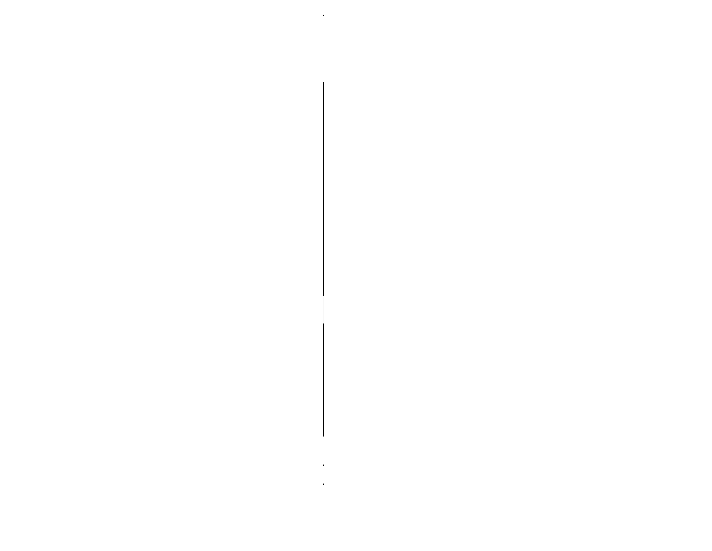$\bullet$ 

 $\mathbf{r}$